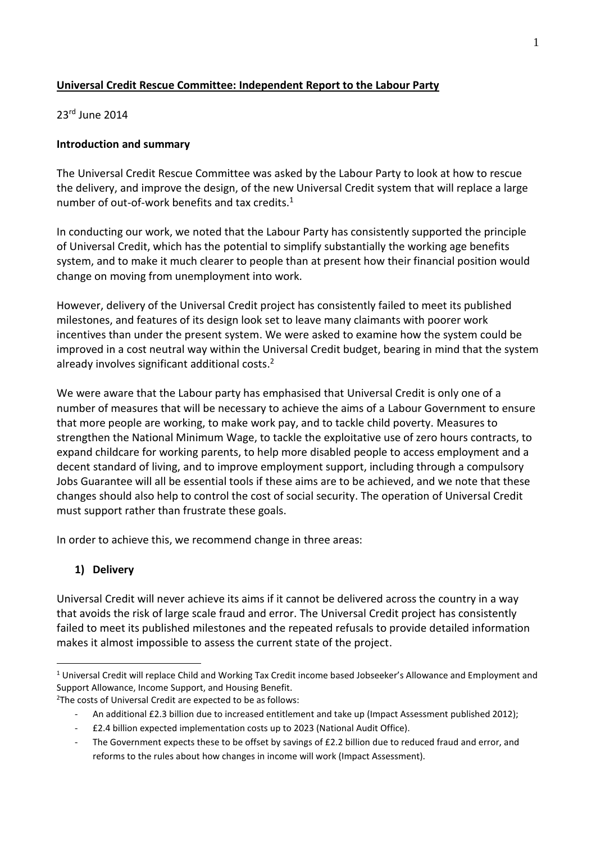# **Universal Credit Rescue Committee: Independent Report to the Labour Party**

23rd June 2014

## **Introduction and summary**

The Universal Credit Rescue Committee was asked by the Labour Party to look at how to rescue the delivery, and improve the design, of the new Universal Credit system that will replace a large number of out-of-work benefits and tax credits. $1$ 

In conducting our work, we noted that the Labour Party has consistently supported the principle of Universal Credit, which has the potential to simplify substantially the working age benefits system, and to make it much clearer to people than at present how their financial position would change on moving from unemployment into work.

However, delivery of the Universal Credit project has consistently failed to meet its published milestones, and features of its design look set to leave many claimants with poorer work incentives than under the present system. We were asked to examine how the system could be improved in a cost neutral way within the Universal Credit budget, bearing in mind that the system already involves significant additional costs. 2

We were aware that the Labour party has emphasised that Universal Credit is only one of a number of measures that will be necessary to achieve the aims of a Labour Government to ensure that more people are working, to make work pay, and to tackle child poverty. Measures to strengthen the National Minimum Wage, to tackle the exploitative use of zero hours contracts, to expand childcare for working parents, to help more disabled people to access employment and a decent standard of living, and to improve employment support, including through a compulsory Jobs Guarantee will all be essential tools if these aims are to be achieved, and we note that these changes should also help to control the cost of social security. The operation of Universal Credit must support rather than frustrate these goals.

In order to achieve this, we recommend change in three areas:

# **1) Delivery**

1

Universal Credit will never achieve its aims if it cannot be delivered across the country in a way that avoids the risk of large scale fraud and error. The Universal Credit project has consistently failed to meet its published milestones and the repeated refusals to provide detailed information makes it almost impossible to assess the current state of the project.

 $1$  Universal Credit will replace Child and Working Tax Credit income based Jobseeker's Allowance and Employment and Support Allowance, Income Support, and Housing Benefit.

<sup>&</sup>lt;sup>2</sup>The costs of Universal Credit are expected to be as follows:

An additional £2.3 billion due to increased entitlement and take up (Impact Assessment published 2012);

<sup>-</sup> £2.4 billion expected implementation costs up to 2023 (National Audit Office).

The Government expects these to be offset by savings of £2.2 billion due to reduced fraud and error, and reforms to the rules about how changes in income will work (Impact Assessment).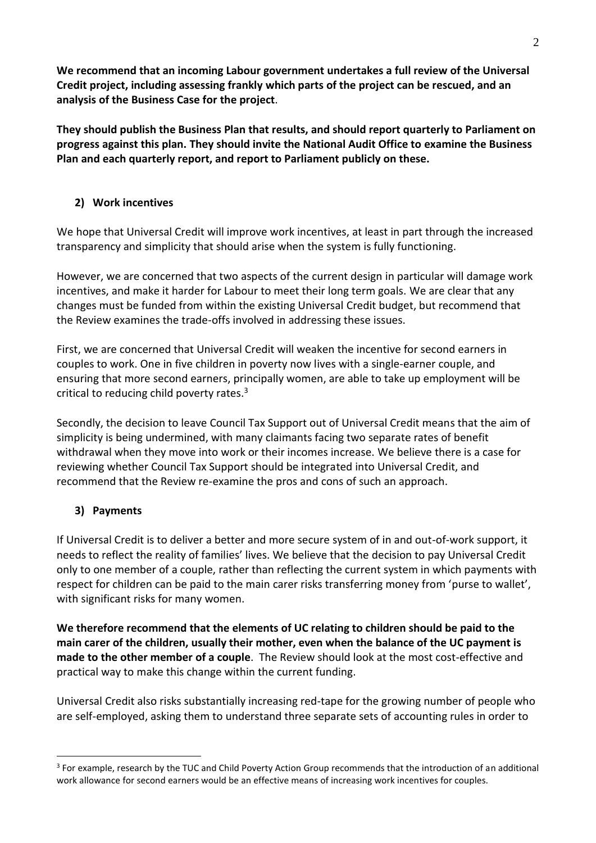**We recommend that an incoming Labour government undertakes a full review of the Universal Credit project, including assessing frankly which parts of the project can be rescued, and an analysis of the Business Case for the project**.

**They should publish the Business Plan that results, and should report quarterly to Parliament on progress against this plan. They should invite the National Audit Office to examine the Business Plan and each quarterly report, and report to Parliament publicly on these.** 

# **2) Work incentives**

We hope that Universal Credit will improve work incentives, at least in part through the increased transparency and simplicity that should arise when the system is fully functioning.

However, we are concerned that two aspects of the current design in particular will damage work incentives, and make it harder for Labour to meet their long term goals. We are clear that any changes must be funded from within the existing Universal Credit budget, but recommend that the Review examines the trade-offs involved in addressing these issues.

First, we are concerned that Universal Credit will weaken the incentive for second earners in couples to work. One in five children in poverty now lives with a single-earner couple, and ensuring that more second earners, principally women, are able to take up employment will be critical to reducing child poverty rates.<sup>3</sup>

Secondly, the decision to leave Council Tax Support out of Universal Credit means that the aim of simplicity is being undermined, with many claimants facing two separate rates of benefit withdrawal when they move into work or their incomes increase. We believe there is a case for reviewing whether Council Tax Support should be integrated into Universal Credit, and recommend that the Review re-examine the pros and cons of such an approach.

# **3) Payments**

<u>.</u>

If Universal Credit is to deliver a better and more secure system of in and out-of-work support, it needs to reflect the reality of families' lives. We believe that the decision to pay Universal Credit only to one member of a couple, rather than reflecting the current system in which payments with respect for children can be paid to the main carer risks transferring money from 'purse to wallet', with significant risks for many women.

**We therefore recommend that the elements of UC relating to children should be paid to the main carer of the children, usually their mother, even when the balance of the UC payment is made to the other member of a couple**. The Review should look at the most cost-effective and practical way to make this change within the current funding.

Universal Credit also risks substantially increasing red-tape for the growing number of people who are self-employed, asking them to understand three separate sets of accounting rules in order to

<sup>&</sup>lt;sup>3</sup> For example, research by the TUC and Child Poverty Action Group recommends that the introduction of an additional work allowance for second earners would be an effective means of increasing work incentives for couples.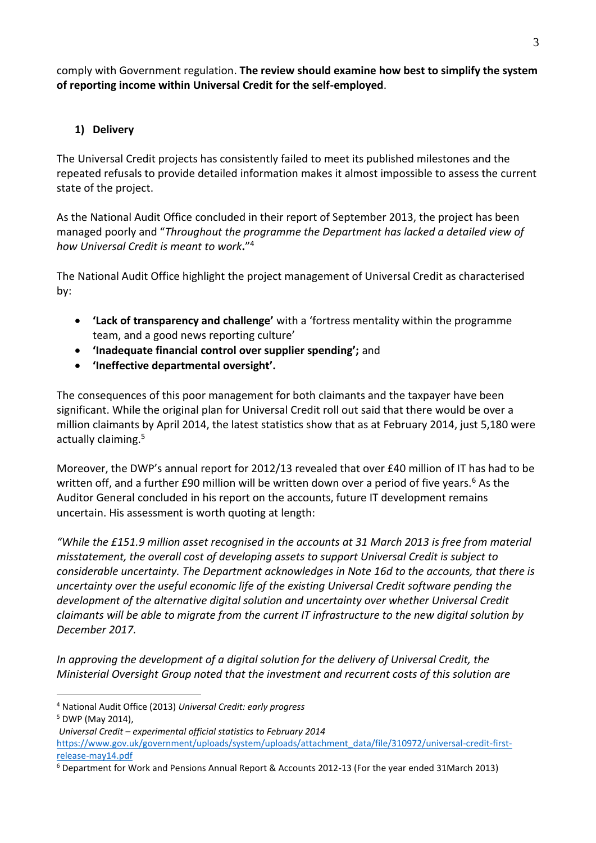comply with Government regulation. **The review should examine how best to simplify the system of reporting income within Universal Credit for the self-employed**.

# **1) Delivery**

The Universal Credit projects has consistently failed to meet its published milestones and the repeated refusals to provide detailed information makes it almost impossible to assess the current state of the project.

As the National Audit Office concluded in their report of September 2013, the project has been managed poorly and "*Throughout the programme the Department has lacked a detailed view of how Universal Credit is meant to work***.**" 4

The National Audit Office highlight the project management of Universal Credit as characterised by:

- **'Lack of transparency and challenge'** with a 'fortress mentality within the programme team, and a good news reporting culture'
- **'Inadequate financial control over supplier spending';** and
- **'Ineffective departmental oversight'.**

The consequences of this poor management for both claimants and the taxpayer have been significant. While the original plan for Universal Credit roll out said that there would be over a million claimants by April 2014, the latest statistics show that as at February 2014, just 5,180 were actually claiming.<sup>5</sup>

Moreover, the DWP's annual report for 2012/13 revealed that over £40 million of IT has had to be written off, and a further £90 million will be written down over a period of five years.<sup>6</sup> As the Auditor General concluded in his report on the accounts, future IT development remains uncertain. His assessment is worth quoting at length:

*"While the £151.9 million asset recognised in the accounts at 31 March 2013 is free from material misstatement, the overall cost of developing assets to support Universal Credit is subject to considerable uncertainty. The Department acknowledges in Note 16d to the accounts, that there is uncertainty over the useful economic life of the existing Universal Credit software pending the development of the alternative digital solution and uncertainty over whether Universal Credit claimants will be able to migrate from the current IT infrastructure to the new digital solution by December 2017.*

*In approving the development of a digital solution for the delivery of Universal Credit, the Ministerial Oversight Group noted that the investment and recurrent costs of this solution are* 

<sup>&</sup>lt;u>.</u> <sup>4</sup> National Audit Office (2013) *Universal Credit: early progress*

<sup>5</sup> DWP (May 2014),

*Universal Credit – experimental official statistics to February 2014*  [https://www.gov.uk/government/uploads/system/uploads/attachment\\_data/file/310972/universal-credit-first](https://www.gov.uk/government/uploads/system/uploads/attachment_data/file/310972/universal-credit-first-release-may14.pdf)[release-may14.pdf](https://www.gov.uk/government/uploads/system/uploads/attachment_data/file/310972/universal-credit-first-release-may14.pdf)

<sup>6</sup> Department for Work and Pensions Annual Report & Accounts 2012-13 (For the year ended 31March 2013)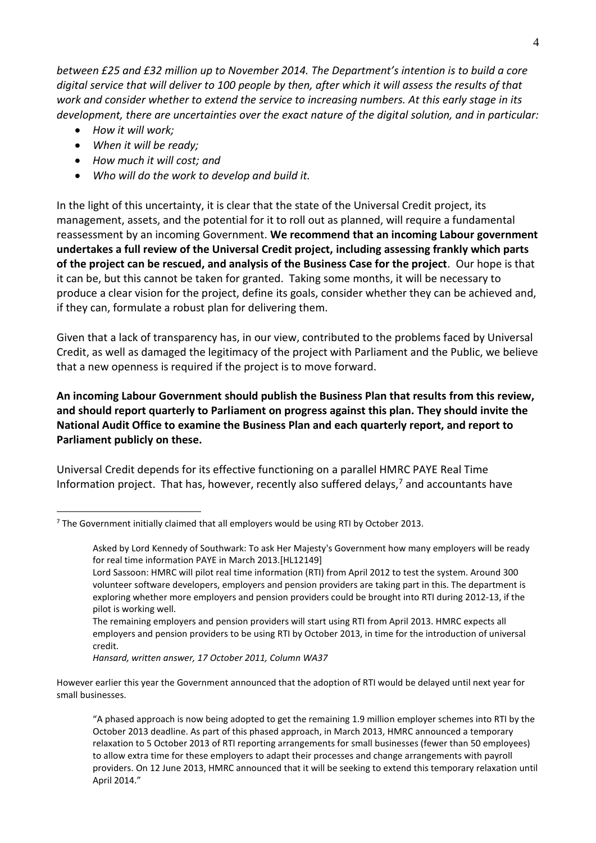*between £25 and £32 million up to November 2014. The Department's intention is to build a core digital service that will deliver to 100 people by then, after which it will assess the results of that work and consider whether to extend the service to increasing numbers. At this early stage in its development, there are uncertainties over the exact nature of the digital solution, and in particular:*

*How it will work;*

1

- *When it will be ready;*
- *How much it will cost; and*
- *Who will do the work to develop and build it.*

In the light of this uncertainty, it is clear that the state of the Universal Credit project, its management, assets, and the potential for it to roll out as planned, will require a fundamental reassessment by an incoming Government. **We recommend that an incoming Labour government undertakes a full review of the Universal Credit project, including assessing frankly which parts of the project can be rescued, and analysis of the Business Case for the project**. Our hope is that it can be, but this cannot be taken for granted. Taking some months, it will be necessary to produce a clear vision for the project, define its goals, consider whether they can be achieved and, if they can, formulate a robust plan for delivering them.

Given that a lack of transparency has, in our view, contributed to the problems faced by Universal Credit, as well as damaged the legitimacy of the project with Parliament and the Public, we believe that a new openness is required if the project is to move forward.

**An incoming Labour Government should publish the Business Plan that results from this review, and should report quarterly to Parliament on progress against this plan. They should invite the National Audit Office to examine the Business Plan and each quarterly report, and report to Parliament publicly on these.** 

Universal Credit depends for its effective functioning on a parallel HMRC PAYE Real Time Information project. That has, however, recently also suffered delays, $<sup>7</sup>$  and accountants have</sup>

 $7$  The Government initially claimed that all employers would be using RTI by October 2013.

Asked by Lord Kennedy of Southwark: To ask Her Majesty's Government how many employers will be ready for real time information PAYE in March 2013.[HL12149]

Lord Sassoon: HMRC will pilot real time information (RTI) from April 2012 to test the system. Around 300 volunteer software developers, employers and pension providers are taking part in this. The department is exploring whether more employers and pension providers could be brought into RTI during 2012-13, if the pilot is working well.

The remaining employers and pension providers will start using RTI from April 2013. HMRC expects all employers and pension providers to be using RTI by October 2013, in time for the introduction of universal credit.

*Hansard, written answer, 17 October 2011, Column WA37*

However earlier this year the Government announced that the adoption of RTI would be delayed until next year for small businesses.

<sup>&</sup>quot;A phased approach is now being adopted to get the remaining 1.9 million employer schemes into RTI by the October 2013 deadline. As part of this phased approach, in March 2013, HMRC announced a temporary relaxation to 5 October 2013 of RTI reporting arrangements for small businesses (fewer than 50 employees) to allow extra time for these employers to adapt their processes and change arrangements with payroll providers. On 12 June 2013, HMRC announced that it will be seeking to extend this temporary relaxation until April 2014."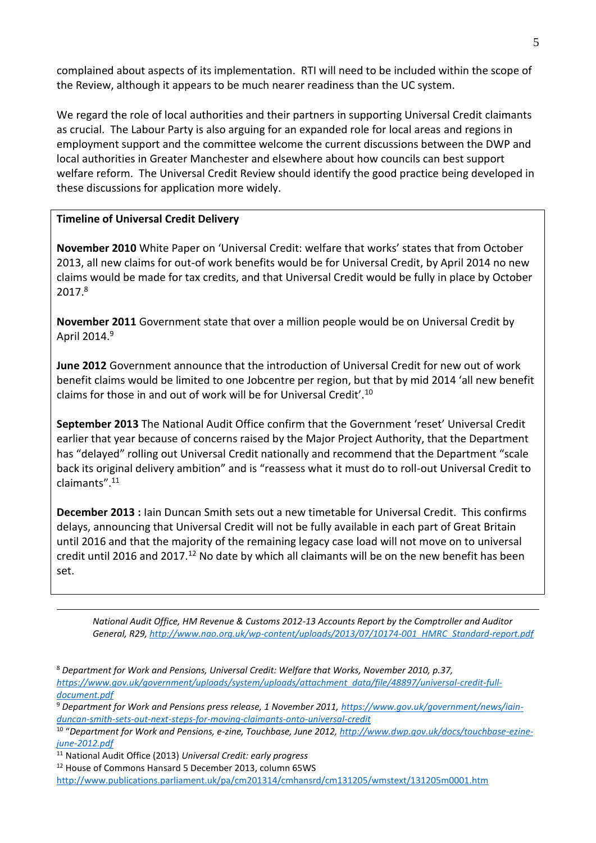complained about aspects of its implementation. RTI will need to be included within the scope of the Review, although it appears to be much nearer readiness than the UC system.

We regard the role of local authorities and their partners in supporting Universal Credit claimants as crucial. The Labour Party is also arguing for an expanded role for local areas and regions in employment support and the committee welcome the current discussions between the DWP and local authorities in Greater Manchester and elsewhere about how councils can best support welfare reform. The Universal Credit Review should identify the good practice being developed in these discussions for application more widely.

### **Timeline of Universal Credit Delivery**

**November 2010** White Paper on 'Universal Credit: welfare that works' states that from October 2013, all new claims for out-of work benefits would be for Universal Credit, by April 2014 no new claims would be made for tax credits, and that Universal Credit would be fully in place by October 2017.<sup>8</sup>

**November 2011** Government state that over a million people would be on Universal Credit by April 2014.<sup>9</sup>

**June 2012** Government announce that the introduction of Universal Credit for new out of work benefit claims would be limited to one Jobcentre per region, but that by mid 2014 'all new benefit claims for those in and out of work will be for Universal Credit'.<sup>10</sup>

**September 2013** The National Audit Office confirm that the Government 'reset' Universal Credit earlier that year because of concerns raised by the Major Project Authority, that the Department has "delayed" rolling out Universal Credit nationally and recommend that the Department "scale back its original delivery ambition" and is "reassess what it must do to roll-out Universal Credit to claimants".<sup>11</sup>

**December 2013 :** Iain Duncan Smith sets out a new timetable for Universal Credit. This confirms delays, announcing that Universal Credit will not be fully available in each part of Great Britain until 2016 and that the majority of the remaining legacy case load will not move on to universal credit until 2016 and 2017.<sup>12</sup> No date by which all claimants will be on the new benefit has been set.

*National Audit Office, HM Revenue & Customs 2012-13 Accounts Report by the Comptroller and Auditor General, R29[, http://www.nao.org.uk/wp-content/uploads/2013/07/10174-001\\_HMRC\\_Standard-report.pdf](http://www.nao.org.uk/wp-content/uploads/2013/07/10174-001_HMRC_Standard-report.pdf)*

<u>.</u>

<sup>8</sup> *Department for Work and Pensions, Universal Credit: Welfare that Works, November 2010, p.37, [https://www.gov.uk/government/uploads/system/uploads/attachment\\_data/file/48897/universal-credit-full](https://www.gov.uk/government/uploads/system/uploads/attachment_data/file/48897/universal-credit-full-document.pdf)[document.pdf](https://www.gov.uk/government/uploads/system/uploads/attachment_data/file/48897/universal-credit-full-document.pdf)*

<sup>9</sup> *Department for Work and Pensions press release, 1 November 2011, [https://www.gov.uk/government/news/iain](https://www.gov.uk/government/news/iain-duncan-smith-sets-out-next-steps-for-moving-claimants-onto-universal-credit)[duncan-smith-sets-out-next-steps-for-moving-claimants-onto-universal-credit](https://www.gov.uk/government/news/iain-duncan-smith-sets-out-next-steps-for-moving-claimants-onto-universal-credit)*

<sup>10</sup> "*Department for Work and Pensions, e-zine, Touchbase, June 2012[, http://www.dwp.gov.uk/docs/touchbase-ezine](http://www.dwp.gov.uk/docs/touchbase-ezine-june-2012.pdf)[june-2012.pdf](http://www.dwp.gov.uk/docs/touchbase-ezine-june-2012.pdf)*

<sup>11</sup> National Audit Office (2013) *Universal Credit: early progress*

<sup>12</sup> House of Commons Hansard 5 December 2013, column 65WS

<http://www.publications.parliament.uk/pa/cm201314/cmhansrd/cm131205/wmstext/131205m0001.htm>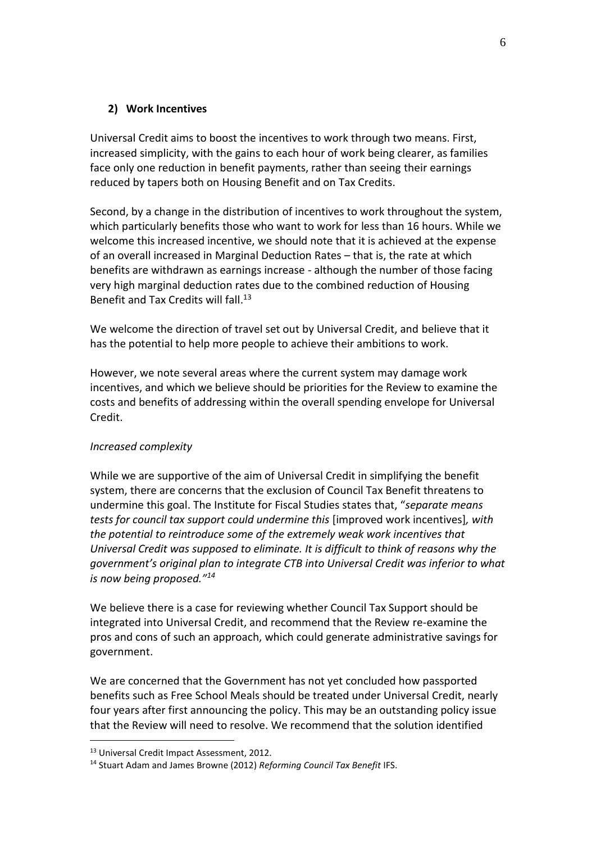### **2) Work Incentives**

Universal Credit aims to boost the incentives to work through two means. First, increased simplicity, with the gains to each hour of work being clearer, as families face only one reduction in benefit payments, rather than seeing their earnings reduced by tapers both on Housing Benefit and on Tax Credits.

Second, by a change in the distribution of incentives to work throughout the system, which particularly benefits those who want to work for less than 16 hours. While we welcome this increased incentive, we should note that it is achieved at the expense of an overall increased in Marginal Deduction Rates – that is, the rate at which benefits are withdrawn as earnings increase - although the number of those facing very high marginal deduction rates due to the combined reduction of Housing Benefit and Tax Credits will fall. 13

We welcome the direction of travel set out by Universal Credit, and believe that it has the potential to help more people to achieve their ambitions to work.

However, we note several areas where the current system may damage work incentives, and which we believe should be priorities for the Review to examine the costs and benefits of addressing within the overall spending envelope for Universal Credit.

### *Increased complexity*

While we are supportive of the aim of Universal Credit in simplifying the benefit system, there are concerns that the exclusion of Council Tax Benefit threatens to undermine this goal. The Institute for Fiscal Studies states that, "*separate means tests for council tax support could undermine this* [improved work incentives]*, with the potential to reintroduce some of the extremely weak work incentives that Universal Credit was supposed to eliminate. It is difficult to think of reasons why the government's original plan to integrate CTB into Universal Credit was inferior to what is now being proposed."<sup>14</sup>*

We believe there is a case for reviewing whether Council Tax Support should be integrated into Universal Credit, and recommend that the Review re-examine the pros and cons of such an approach, which could generate administrative savings for government.

We are concerned that the Government has not yet concluded how passported benefits such as Free School Meals should be treated under Universal Credit, nearly four years after first announcing the policy. This may be an outstanding policy issue that the Review will need to resolve. We recommend that the solution identified

<u>.</u>

<sup>13</sup> Universal Credit Impact Assessment, 2012.

<sup>14</sup> Stuart Adam and James Browne (2012) *Reforming Council Tax Benefit* IFS.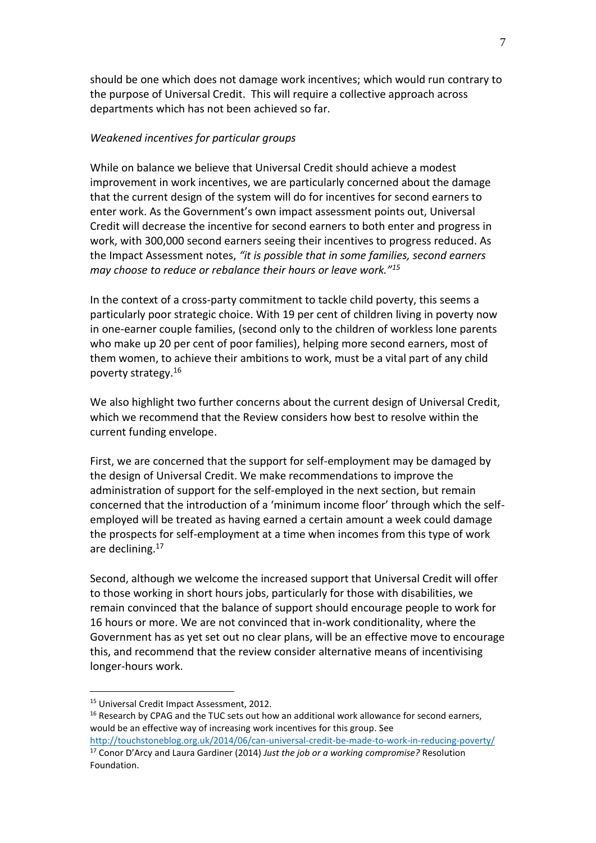should be one which does not damage work incentives; which would run contrary to the purpose of Universal Credit. This will require a collective approach across departments which has not been achieved so far.

#### *Weakened incentives for particular groups*

While on balance we believe that Universal Credit should achieve a modest improvement in work incentives, we are particularly concerned about the damage that the current design of the system will do for incentives for second earners to enter work. As the Government's own impact assessment points out, Universal Credit will decrease the incentive for second earners to both enter and progress in work, with 300,000 second earners seeing their incentives to progress reduced. As the Impact Assessment notes, *"it is possible that in some families, second earners may choose to reduce or rebalance their hours or leave work."<sup>15</sup>*

In the context of a cross-party commitment to tackle child poverty, this seems a particularly poor strategic choice. With 19 per cent of children living in poverty now in one-earner couple families, (second only to the children of workless lone parents who make up 20 per cent of poor families), helping more second earners, most of them women, to achieve their ambitions to work, must be a vital part of any child poverty strategy.<sup>16</sup>

We also highlight two further concerns about the current design of Universal Credit, which we recommend that the Review considers how best to resolve within the current funding envelope.

First, we are concerned that the support for self-employment may be damaged by the design of Universal Credit. We make recommendations to improve the administration of support for the self-employed in the next section, but remain concerned that the introduction of a 'minimum income floor' through which the selfemployed will be treated as having earned a certain amount a week could damage the prospects for self-employment at a time when incomes from this type of work are declining.<sup>17</sup>

Second, although we welcome the increased support that Universal Credit will offer to those working in short hours jobs, particularly for those with disabilities, we remain convinced that the balance of support should encourage people to work for 16 hours or more. We are not convinced that in-work conditionality, where the Government has as yet set out no clear plans, will be an effective move to encourage this, and recommend that the review consider alternative means of incentivising longer-hours work.

1

<sup>15</sup> Universal Credit Impact Assessment, 2012.

 $16$  Research by CPAG and the TUC sets out how an additional work allowance for second earners, would be an effective way of increasing work incentives for this group. See

<http://touchstoneblog.org.uk/2014/06/can-universal-credit-be-made-to-work-in-reducing-poverty/> <sup>17</sup> Conor D'Arcy and Laura Gardiner (2014) *Just the job or a working compromise?* Resolution Foundation.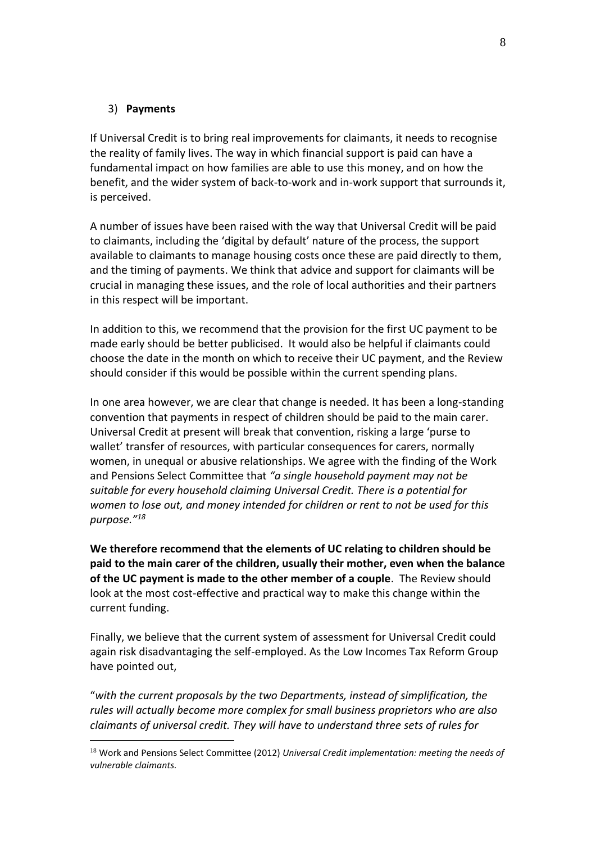#### 3) **Payments**

<u>.</u>

If Universal Credit is to bring real improvements for claimants, it needs to recognise the reality of family lives. The way in which financial support is paid can have a fundamental impact on how families are able to use this money, and on how the benefit, and the wider system of back-to-work and in-work support that surrounds it, is perceived.

A number of issues have been raised with the way that Universal Credit will be paid to claimants, including the 'digital by default' nature of the process, the support available to claimants to manage housing costs once these are paid directly to them, and the timing of payments. We think that advice and support for claimants will be crucial in managing these issues, and the role of local authorities and their partners in this respect will be important.

In addition to this, we recommend that the provision for the first UC payment to be made early should be better publicised. It would also be helpful if claimants could choose the date in the month on which to receive their UC payment, and the Review should consider if this would be possible within the current spending plans.

In one area however, we are clear that change is needed. It has been a long-standing convention that payments in respect of children should be paid to the main carer. Universal Credit at present will break that convention, risking a large 'purse to wallet' transfer of resources, with particular consequences for carers, normally women, in unequal or abusive relationships. We agree with the finding of the Work and Pensions Select Committee that *"a single household payment may not be suitable for every household claiming Universal Credit. There is a potential for women to lose out, and money intended for children or rent to not be used for this purpose." 18*

**We therefore recommend that the elements of UC relating to children should be paid to the main carer of the children, usually their mother, even when the balance of the UC payment is made to the other member of a couple**. The Review should look at the most cost-effective and practical way to make this change within the current funding.

Finally, we believe that the current system of assessment for Universal Credit could again risk disadvantaging the self-employed. As the Low Incomes Tax Reform Group have pointed out,

"*with the current proposals by the two Departments, instead of simplification, the rules will actually become more complex for small business proprietors who are also claimants of universal credit. They will have to understand three sets of rules for* 

<sup>18</sup> Work and Pensions Select Committee (2012) *Universal Credit implementation: meeting the needs of vulnerable claimants.*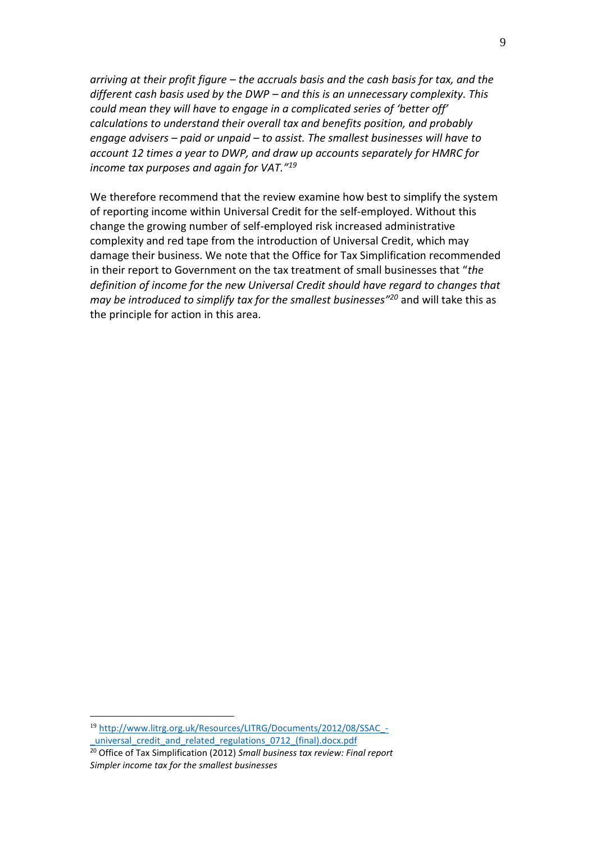*arriving at their profit figure – the accruals basis and the cash basis for tax, and the different cash basis used by the DWP – and this is an unnecessary complexity. This could mean they will have to engage in a complicated series of 'better off' calculations to understand their overall tax and benefits position, and probably engage advisers – paid or unpaid – to assist. The smallest businesses will have to account 12 times a year to DWP, and draw up accounts separately for HMRC for income tax purposes and again for VAT."<sup>19</sup>*

We therefore recommend that the review examine how best to simplify the system of reporting income within Universal Credit for the self-employed. Without this change the growing number of self-employed risk increased administrative complexity and red tape from the introduction of Universal Credit, which may damage their business. We note that the Office for Tax Simplification recommended in their report to Government on the tax treatment of small businesses that "*the definition of income for the new Universal Credit should have regard to changes that may be introduced to simplify tax for the smallest businesses" <sup>20</sup>* and will take this as the principle for action in this area.

<u>.</u>

<sup>19</sup> [http://www.litrg.org.uk/Resources/LITRG/Documents/2012/08/SSAC\\_](http://www.litrg.org.uk/Resources/LITRG/Documents/2012/08/SSAC_-_universal_credit_and_related_regulations_0712_(final).docx.pdf) universal credit and related regulations 0712 (final).docx.pdf

<sup>20</sup> Office of Tax Simplification (2012) *Small business tax review: Final report Simpler income tax for the smallest businesses*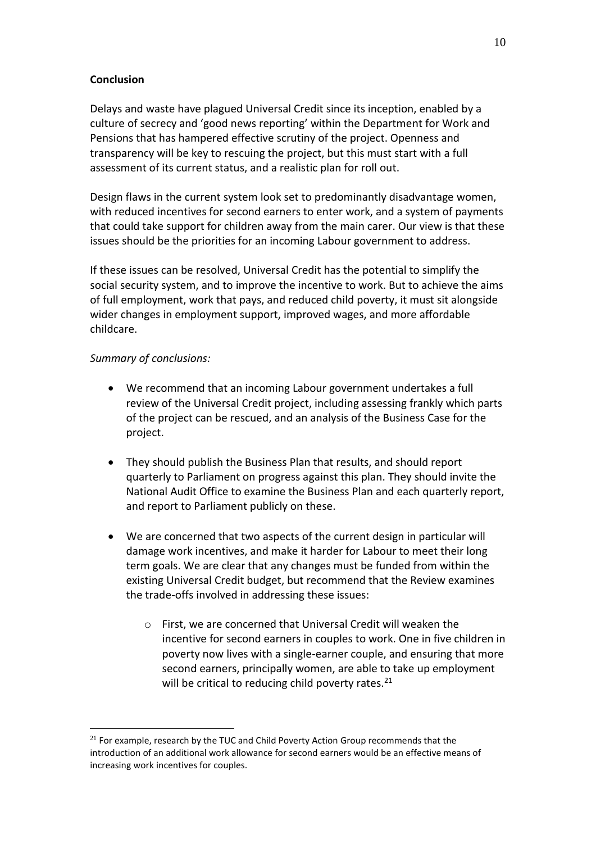### **Conclusion**

Delays and waste have plagued Universal Credit since its inception, enabled by a culture of secrecy and 'good news reporting' within the Department for Work and Pensions that has hampered effective scrutiny of the project. Openness and transparency will be key to rescuing the project, but this must start with a full assessment of its current status, and a realistic plan for roll out.

Design flaws in the current system look set to predominantly disadvantage women, with reduced incentives for second earners to enter work, and a system of payments that could take support for children away from the main carer. Our view is that these issues should be the priorities for an incoming Labour government to address.

If these issues can be resolved, Universal Credit has the potential to simplify the social security system, and to improve the incentive to work. But to achieve the aims of full employment, work that pays, and reduced child poverty, it must sit alongside wider changes in employment support, improved wages, and more affordable childcare.

## *Summary of conclusions:*

1

- We recommend that an incoming Labour government undertakes a full review of the Universal Credit project, including assessing frankly which parts of the project can be rescued, and an analysis of the Business Case for the project.
- They should publish the Business Plan that results, and should report quarterly to Parliament on progress against this plan. They should invite the National Audit Office to examine the Business Plan and each quarterly report, and report to Parliament publicly on these.
- We are concerned that two aspects of the current design in particular will damage work incentives, and make it harder for Labour to meet their long term goals. We are clear that any changes must be funded from within the existing Universal Credit budget, but recommend that the Review examines the trade-offs involved in addressing these issues:
	- o First, we are concerned that Universal Credit will weaken the incentive for second earners in couples to work. One in five children in poverty now lives with a single-earner couple, and ensuring that more second earners, principally women, are able to take up employment will be critical to reducing child poverty rates. $21$

 $21$  For example, research by the TUC and Child Poverty Action Group recommends that the introduction of an additional work allowance for second earners would be an effective means of increasing work incentives for couples.